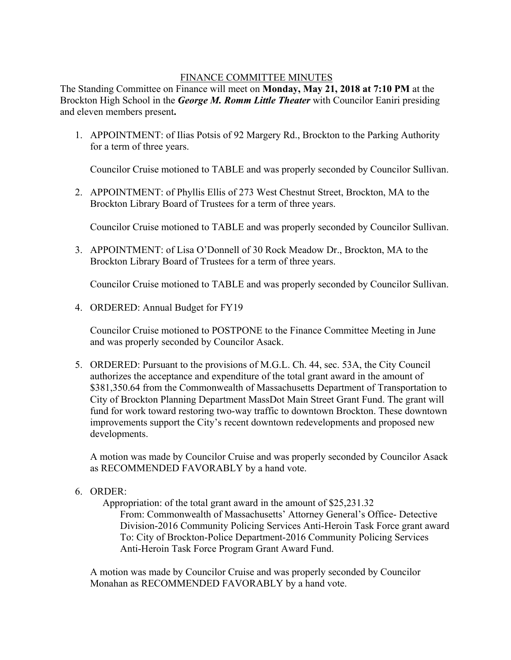## FINANCE COMMITTEE MINUTES

The Standing Committee on Finance will meet on **Monday, May 21, 2018 at 7:10 PM** at the Brockton High School in the *George M. Romm Little Theater* with Councilor Eaniri presiding and eleven members present**.** 

1. APPOINTMENT: of Ilias Potsis of 92 Margery Rd., Brockton to the Parking Authority for a term of three years.

Councilor Cruise motioned to TABLE and was properly seconded by Councilor Sullivan.

2. APPOINTMENT: of Phyllis Ellis of 273 West Chestnut Street, Brockton, MA to the Brockton Library Board of Trustees for a term of three years.

Councilor Cruise motioned to TABLE and was properly seconded by Councilor Sullivan.

3. APPOINTMENT: of Lisa O'Donnell of 30 Rock Meadow Dr., Brockton, MA to the Brockton Library Board of Trustees for a term of three years.

Councilor Cruise motioned to TABLE and was properly seconded by Councilor Sullivan.

4. ORDERED: Annual Budget for FY19

Councilor Cruise motioned to POSTPONE to the Finance Committee Meeting in June and was properly seconded by Councilor Asack.

5. ORDERED: Pursuant to the provisions of M.G.L. Ch. 44, sec. 53A, the City Council authorizes the acceptance and expenditure of the total grant award in the amount of \$381,350.64 from the Commonwealth of Massachusetts Department of Transportation to City of Brockton Planning Department MassDot Main Street Grant Fund. The grant will fund for work toward restoring two-way traffic to downtown Brockton. These downtown improvements support the City's recent downtown redevelopments and proposed new developments.

A motion was made by Councilor Cruise and was properly seconded by Councilor Asack as RECOMMENDED FAVORABLY by a hand vote.

6. ORDER:

Appropriation: of the total grant award in the amount of \$25,231.32

From: Commonwealth of Massachusetts' Attorney General's Office- Detective Division-2016 Community Policing Services Anti-Heroin Task Force grant award To: City of Brockton-Police Department-2016 Community Policing Services Anti-Heroin Task Force Program Grant Award Fund.

A motion was made by Councilor Cruise and was properly seconded by Councilor Monahan as RECOMMENDED FAVORABLY by a hand vote.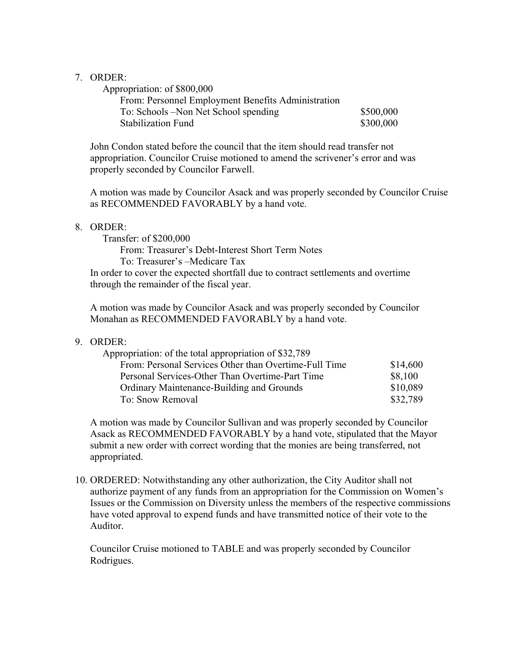## 7. ORDER:

| \$500,000 |
|-----------|
| \$300,000 |
|           |

John Condon stated before the council that the item should read transfer not appropriation. Councilor Cruise motioned to amend the scrivener's error and was properly seconded by Councilor Farwell.

A motion was made by Councilor Asack and was properly seconded by Councilor Cruise as RECOMMENDED FAVORABLY by a hand vote.

## 8. ORDER:

Transfer: of \$200,000

From: Treasurer's Debt-Interest Short Term Notes

To: Treasurer's –Medicare Tax

In order to cover the expected shortfall due to contract settlements and overtime through the remainder of the fiscal year.

A motion was made by Councilor Asack and was properly seconded by Councilor Monahan as RECOMMENDED FAVORABLY by a hand vote.

## 9. ORDER:

| Appropriation: of the total appropriation of \$32,789 |          |
|-------------------------------------------------------|----------|
| From: Personal Services Other than Overtime-Full Time | \$14,600 |
| Personal Services-Other Than Overtime-Part Time       | \$8,100  |
| Ordinary Maintenance-Building and Grounds             | \$10,089 |
| To: Snow Removal                                      | \$32,789 |

A motion was made by Councilor Sullivan and was properly seconded by Councilor Asack as RECOMMENDED FAVORABLY by a hand vote, stipulated that the Mayor submit a new order with correct wording that the monies are being transferred, not appropriated.

10. ORDERED: Notwithstanding any other authorization, the City Auditor shall not authorize payment of any funds from an appropriation for the Commission on Women's Issues or the Commission on Diversity unless the members of the respective commissions have voted approval to expend funds and have transmitted notice of their vote to the Auditor.

Councilor Cruise motioned to TABLE and was properly seconded by Councilor Rodrigues.